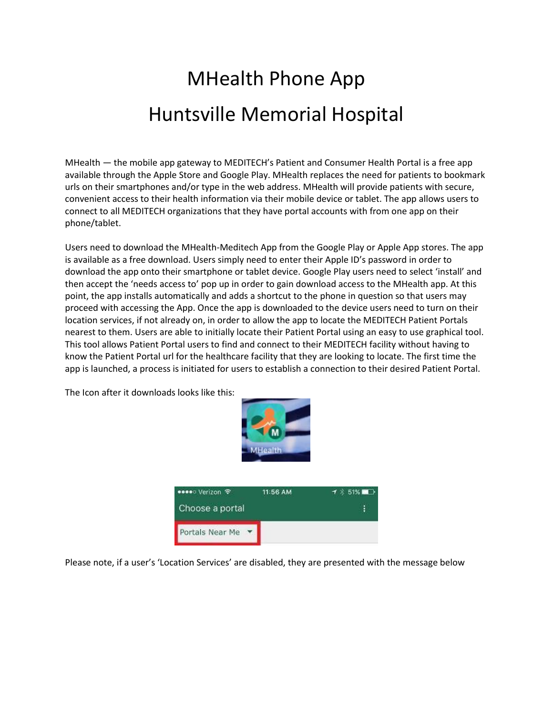## MHealth Phone App Huntsville Memorial Hospital

MHealth — the mobile app gateway to MEDITECH's Patient and Consumer Health Portal is a free app available through the Apple Store and Google Play. MHealth replaces the need for patients to bookmark urls on their smartphones and/or type in the web address. MHealth will provide patients with secure, convenient access to their health information via their mobile device or tablet. The app allows users to connect to all MEDITECH organizations that they have portal accounts with from one app on their phone/tablet.

Users need to download the MHealth-Meditech App from the Google Play or Apple App stores. The app is available as a free download. Users simply need to enter their Apple ID's password in order to download the app onto their smartphone or tablet device. Google Play users need to select 'install' and then accept the 'needs access to' pop up in order to gain download access to the MHealth app. At this point, the app installs automatically and adds a shortcut to the phone in question so that users may proceed with accessing the App. Once the app is downloaded to the device users need to turn on their location services, if not already on, in order to allow the app to locate the MEDITECH Patient Portals nearest to them. Users are able to initially locate their Patient Portal using an easy to use graphical tool. This tool allows Patient Portal users to find and connect to their MEDITECH facility without having to know the Patient Portal url for the healthcare facility that they are looking to locate. The first time the app is launched, a process is initiated for users to establish a connection to their desired Patient Portal.



The Icon after it downloads looks like this:

Please note, if a user's 'Location Services' are disabled, they are presented with the message below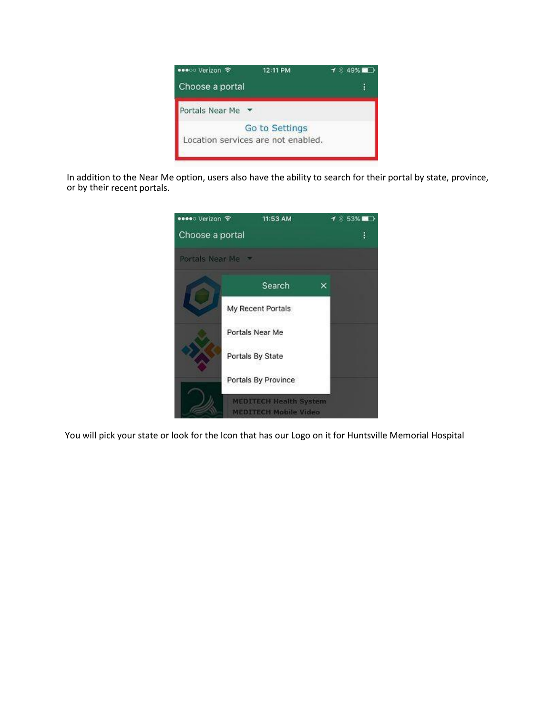

In addition to the Near Me option, users also have the ability to search for their portal by state, province, or by their recent portals.



You will pick your state or look for the Icon that has our Logo on it for Huntsville Memorial Hospital